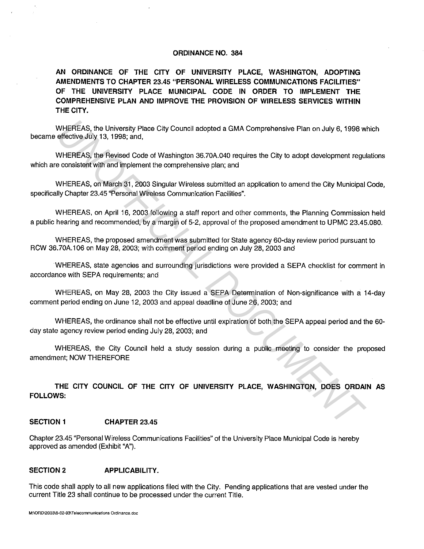#### **ORDINANCE NO. 384**

**AN ORDINANCE OF THE CITY OF UNIVERSITY PLACE, WASHINGTON, ADOPTING AMENDMENTS TO CHAPTER 23.45 "PERSONAL WIRELESS COMMUNICATIONS FACILITIES" OF THE UNIVERSITY PLACE MUNICIPAL CODE IN ORDER TO IMPLEMENT THE COMPREHENSIVE PLAN AND IMPROVE THE PROVISION OF WIRELESS SERVICES WITHIN THE CITY.** 

WHEREAS, the University Place City Council adopted a GMA Comprehensive Plan on July 6, 1998 which became effective July 13, 1998; and,

WHEREAS, the Revised Code of Washington 36.?0A.040 requires the City to adopt development regulations which are consistent with and implement the comprehensive plan; and

WHEREAS, on March 31, 2003 Singular Wireless submitted an application to amend the City Municipal Code, specifically Chapter 23.45 "Personal Wireless Communication Facilities".

WHEREAS, on April 16, 2003 following a staff report and other comments, the Planning Commission held a public hearing and recommended, by a margin of 5-2, approval of the proposed amendment to UPMC 23.45.080.

WHEREAS, the proposed amendment was submitted for State agency 60-day review period pursuant to RCW 36.?0A.106 on May 28, 2003; with comment period ending on July 28, 2003 and

WHEREAS, state agencies and surrounding jurisdictions were provided a SEPA checklist for comment in accordance with SEPA requirements; and

WHEREAS, on May 28, 2003 the City issued a SEPA Determination of Non-significance with a 14-day comment period ending on June 12, 2003 and appeal deadline of June 26, 2003; and WHEREAS, the University Place City Council adopted a GMA Comprehensive Plan on July 6, 1998 were directive July 13, 1998 and,<br>enfective July 13, 1998; and,<br>WHEREAS, the Revised Code of Washington 38,70A,040 requires the Ci

WHEREAS, the ordinance shall not be effective until expiration of both the SEPA appeal period and the 60 day state agency review period ending July 28, 2003; and

WHEREAS, the City Council held a study session during a public meeting to consider the proposed amendment; NOW THEREFORE

**THE CITY COUNCIL OF THE CITY OF UNIVERSITY PLACE, WASHINGTON, DOES ORDAIN AS FOLLOWS:** 

# **SECTION 1 CHAPTER 23.45**

Chapter 23.45 "Personal Wireless Communications Facilities" of the University Place Municipal Code is hereby approved as amended (Exhibit "A").

### SECTION 2 **APPLICABILITY.**

This code shall apply to all new applications filed with the City. Pending applications that are vested under the current Title 23 shall continue to be processed under the current Title.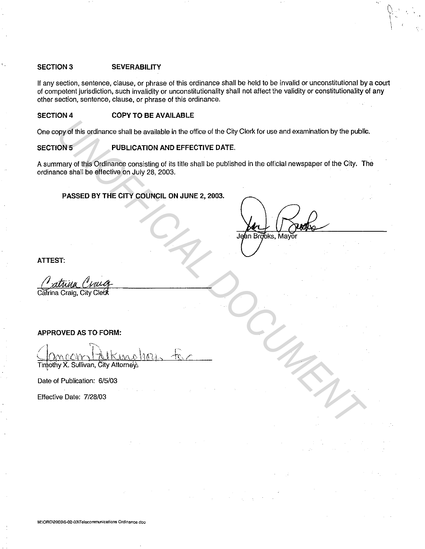# **SECTION3 SEVERABILITY**

If any section, sentence, clause, or phrase of this ordinance shall be held to be invalid or unconstitutional by a court of competent jurisdiction, such invalidity or unconstitutionality shall not affect the validity or constitutionality of any other section, sentence, clause, or phrase of this ordinance.

#### **SECTION4 COPY TO BE AVAILABLE**

One copy of this ordinance shall be available in the office of the City Clerk for use and examination by the public.

# **SECTION 5 PUBLICATION AND EFFECTIVE DATE.**

A summary of this Ordinance consisting of its title shall be published in the official newspaper of the City. The ordinance shall be effective on July 28, 2003. **EXERCISE OF THE CITY COUNCIL ON JUNE 2, 2003.**<br> **PASSED BY THE CITY COUNCIL ON JUNE 2, 2003.**<br> **PASSED BY THE CITY COUNCIL ON JUNE 2, 2003.**<br> **PASSED BY THE CITY COUNCIL ON JUNE 2, 2003.**<br> **PASSED BY THE CITY COUNCIL ON J** 

# **PASSED BY THE CITY COUNCIL ON JUNE 2, 2003.**

 $\tilde{U}$  $\frac{1}{2}$  $\mathcal{L}$ 

**ATTEST:** 

# **APPROVED AS TO FORM:**

Timothy X. Sullivan, City Attorneys

Date of Publication: 6/5/03

Effective Date: 7/28/03

**M:\ORD\2003\6-02-03\T elecommunications Ordinance-doc**